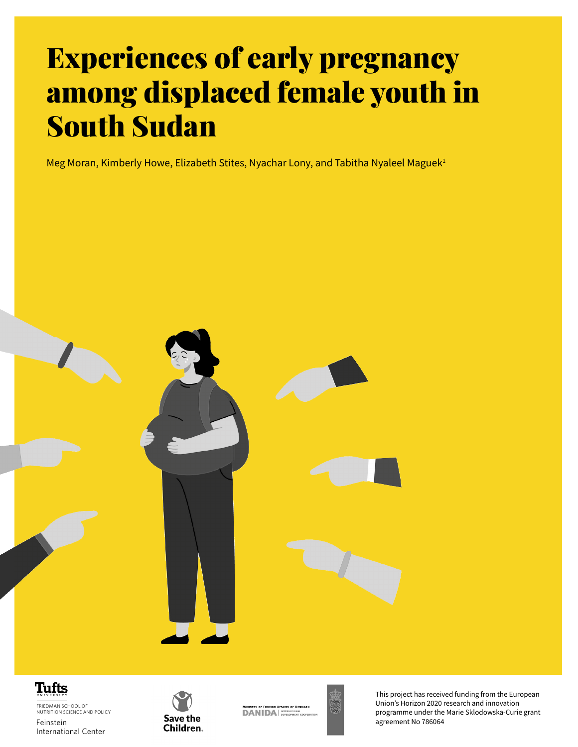# Experiences of early pregnancy among displaced female youth in South Sudan

Meg Moran, Kimberly Howe, Elizabeth Stites, Nyachar Lony, and Tabitha Nyaleel Maguek<sup>1</sup>



#### Tufts

FRIEDMAN SCHOOL OF NUTRITION SCIENCE AND POLICY Feinstein International Center



**DANIDA** 



**Experiences of early predict of early predicted female in South Sudan Sudan Sudan Sudan Sudan Sudan Sudan Sudan Sudan Sudan Sudan Sudan Sudan Sudan Sudan Sudan Sudan Sudan Sudan Sudan Sudan Sudan Sudan Sudan Sudan Sudan S** This project has received funding from the European Union's Horizon 2020 research and innovation programme under the Marie Sklodowska-Curie grant agreement No 786064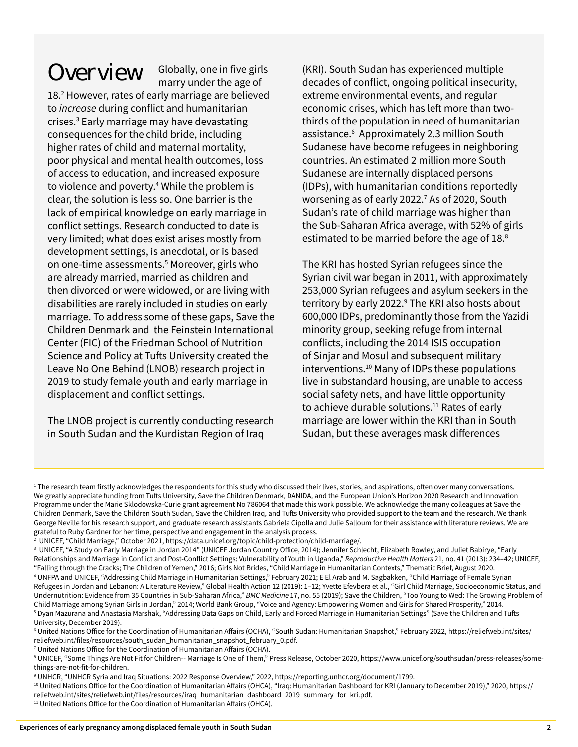Overview Globally, one in five girls marry under the age of

18.<sup>2</sup> However, rates of early marriage are believed to *increase* during conflict and humanitarian crises.<sup>3</sup> Early marriage may have devastating consequences for the child bride, including higher rates of child and maternal mortality, poor physical and mental health outcomes, loss of access to education, and increased exposure to violence and poverty.<sup>4</sup> While the problem is clear, the solution is less so. One barrier is the lack of empirical knowledge on early marriage in conflict settings. Research conducted to date is very limited; what does exist arises mostly from development settings, is anecdotal, or is based on one-time assessments.5 Moreover, girls who are already married, married as children and then divorced or were widowed, or are living with disabilities are rarely included in studies on early marriage. To address some of these gaps, Save the Children Denmark and the Feinstein International Center (FIC) of the Friedman School of Nutrition Science and Policy at Tufts University created the Leave No One Behind (LNOB) research project in 2019 to study female youth and early marriage in displacement and conflict settings.

The LNOB project is currently conducting research in South Sudan and the Kurdistan Region of Iraq

(KRI). South Sudan has experienced multiple decades of conflict, ongoing political insecurity, extreme environmental events, and regular economic crises, which has left more than twothirds of the population in need of humanitarian assistance.6 Approximately 2.3 million South Sudanese have become refugees in neighboring countries. An estimated 2 million more South Sudanese are internally displaced persons (IDPs), with humanitarian conditions reportedly worsening as of early 2022.<sup>7</sup> As of 2020, South Sudan's rate of child marriage was higher than the Sub-Saharan Africa average, with 52% of girls estimated to be married before the age of 18.<sup>8</sup>

The KRI has hosted Syrian refugees since the Syrian civil war began in 2011, with approximately 253,000 Syrian refugees and asylum seekers in the territory by early 2022.<sup>9</sup> The KRI also hosts about 600,000 IDPs, predominantly those from the Yazidi minority group, seeking refuge from internal conflicts, including the 2014 ISIS occupation of Sinjar and Mosul and subsequent military interventions.<sup>10</sup> Many of IDPs these populations live in substandard housing, are unable to access social safety nets, and have little opportunity to achieve durable solutions.<sup>11</sup> Rates of early marriage are lower within the KRI than in South Sudan, but these averages mask differences

<sup>1</sup> The research team firstly acknowledges the respondents for this study who discussed their lives, stories, and aspirations, often over many conversations. We greatly appreciate funding from Tufts University, Save the Children Denmark, DANIDA, and the European Union's Horizon 2020 Research and Innovation Programme under the Marie Sklodowska-Curie grant agreement No 786064 that made this work possible. We acknowledge the many colleagues at Save the Children Denmark, Save the Children South Sudan, Save the Children Iraq, and Tufts University who provided support to the team and the research. We thank George Neville for his research support, and graduate research assistants Gabriela Cipolla and Julie Salloum for their assistance with literature reviews. We are grateful to Ruby Gardner for her time, perspective and engagement in the analysis process.

<sup>2</sup> UNICEF, "Child Marriage," October 2021, https://data.unicef.org/topic/child-protection/child-marriage/.

<sup>3</sup> UNICEF, "A Study on Early Marriage in Jordan 2014" (UNICEF Jordan Country Office, 2014); Jennifer Schlecht, Elizabeth Rowley, and Juliet Babirye, "Early Relationships and Marriage in Conflict and Post-Conflict Settings: Vulnerability of Youth in Uganda," *Reproductive Health Matters* 21, no. 41 (2013): 234–42; UNICEF, "Falling through the Cracks; The Children of Yemen," 2016; Girls Not Brides, "Child Marriage in Humanitarian Contexts," Thematic Brief, August 2020.

<sup>4</sup> UNFPA and UNICEF, "Addressing Child Marriage in Humanitarian Settings," February 2021; E El Arab and M. Sagbakken, "Child Marriage of Female Syrian Refugees in Jordan and Lebanon: A Literature Review," Global Health Action 12 (2019): 1-12; Yvette Efevbera et al., "Girl Child Marriage, Socioeconomic Status, and Undernutrition: Evidence from 35 Countries in Sub-Saharan Africa," *BMC Medicine* 17, no. 55 (2019); Save the Children, "Too Young to Wed: The Growing Problem of Child Marriage among Syrian Girls in Jordan," 2014; World Bank Group, "Voice and Agency: Empowering Women and Girls for Shared Prosperity," 2014. 5 Dyan Mazurana and Anastasia Marshak, "Addressing Data Gaps on Child, Early and Forced Marriage in Humanitarian Settings" (Save the Children and Tufts University, December 2019).

<sup>6</sup> United Nations Office for the Coordination of Humanitarian Affairs (OCHA), "South Sudan: Humanitarian Snapshot," February 2022, https://reliefweb.int/sites/ reliefweb.int/files/resources/south\_sudan\_humanitarian\_snapshot\_february\_0.pdf.

<sup>7</sup> United Nations Office for the Coordination of Humanitarian Affairs (OCHA).

<sup>8</sup> UNICEF, "Some Things Are Not Fit for Children-- Marriage Is One of Them," Press Release, October 2020, https://www.unicef.org/southsudan/press-releases/somethings-are-not-fit-for-children.

<sup>9</sup> UNHCR, "UNHCR Syria and Iraq Situations: 2022 Response Overview," 2022, https://reporting.unhcr.org/document/1799.

<sup>10</sup> United Nations Office for the Coordination of Humanitarian Affairs (OHCA), "Iraq: Humanitarian Dashboard for KRI (January to December 2019)," 2020, [https://](https://reliefweb.int/sites/reliefweb.int/files/resources/iraq_humanitarian_dashboard_2019_summary_for_kri.pdf.) [reliefweb.int/sites/reliefweb.int/files/resources/iraq\\_humanitarian\\_dashboard\\_2019\\_summary\\_for\\_kri.pdf.](https://reliefweb.int/sites/reliefweb.int/files/resources/iraq_humanitarian_dashboard_2019_summary_for_kri.pdf.)

<sup>&</sup>lt;sup>11</sup> United Nations Office for the Coordination of Humanitarian Affairs (OHCA).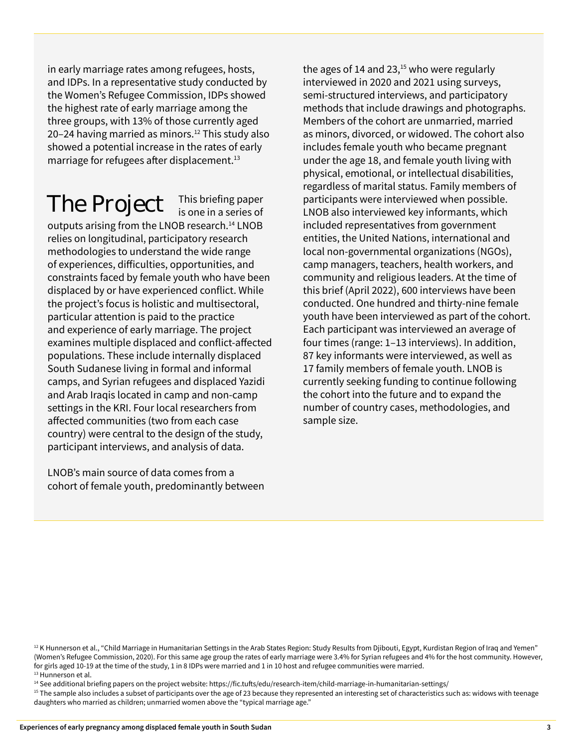in early marriage rates among refugees, hosts, and IDPs. In a representative study conducted by the Women's Refugee Commission, IDPs showed the highest rate of early marriage among the three groups, with 13% of those currently aged 20–24 having married as minors.<sup>12</sup> This study also showed a potential increase in the rates of early marriage for refugees after displacement.<sup>13</sup>

### The Project

This briefing paper<br>is one in a series of

outputs arising from the LNOB research.<sup>14</sup> LNOB relies on longitudinal, participatory research methodologies to understand the wide range of experiences, difficulties, opportunities, and constraints faced by female youth who have been displaced by or have experienced conflict. While the project's focus is holistic and multisectoral, particular attention is paid to the practice and experience of early marriage. The project examines multiple displaced and conflict-affected populations. These include internally displaced South Sudanese living in formal and informal camps, and Syrian refugees and displaced Yazidi and Arab Iraqis located in camp and non-camp settings in the KRI. Four local researchers from affected communities (two from each case country) were central to the design of the study, participant interviews, and analysis of data.

LNOB's main source of data comes from a cohort of female youth, predominantly between the ages of 14 and 23, $15$  who were regularly interviewed in 2020 and 2021 using surveys, semi-structured interviews, and participatory methods that include drawings and photographs. Members of the cohort are unmarried, married as minors, divorced, or widowed. The cohort also includes female youth who became pregnant under the age 18, and female youth living with physical, emotional, or intellectual disabilities, regardless of marital status. Family members of participants were interviewed when possible. LNOB also interviewed key informants, which included representatives from government entities, the United Nations, international and local non-governmental organizations (NGOs), camp managers, teachers, health workers, and community and religious leaders. At the time of this brief (April 2022), 600 interviews have been conducted. One hundred and thirty-nine female youth have been interviewed as part of the cohort. Each participant was interviewed an average of four times (range: 1–13 interviews). In addition, 87 key informants were interviewed, as well as 17 family members of female youth. LNOB is currently seeking funding to continue following the cohort into the future and to expand the number of country cases, methodologies, and sample size.

14 See additional briefing papers on the project website: https://fic.tufts/edu/research-item/child-marriage-in-humanitarian-settings/

<sup>&</sup>lt;sup>12</sup> K Hunnerson et al., "Child Marriage in Humanitarian Settings in the Arab States Region: Study Results from Djibouti, Egypt, Kurdistan Region of Iraq and Yemen" (Women's Refugee Commission, 2020). For this same age group the rates of early marriage were 3.4% for Syrian refugees and 4% for the host community. However, for girls aged 10-19 at the time of the study, 1 in 8 IDPs were married and 1 in 10 host and refugee communities were married. <sup>13</sup> Hunnerson et al.

<sup>&</sup>lt;sup>15</sup> The sample also includes a subset of participants over the age of 23 because they represented an interesting set of characteristics such as: widows with teenage daughters who married as children; unmarried women above the "typical marriage age."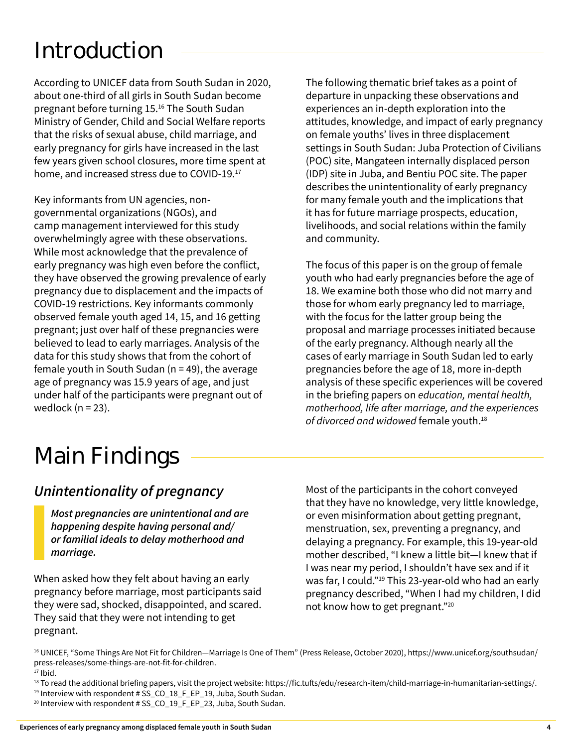## Introduction

According to UNICEF data from South Sudan in 2020, about one-third of all girls in South Sudan become pregnant before turning 15.16 The South Sudan Ministry of Gender, Child and Social Welfare reports that the risks of sexual abuse, child marriage, and early pregnancy for girls have increased in the last few years given school closures, more time spent at home, and increased stress due to COVID-19.<sup>17</sup>

Key informants from UN agencies, nongovernmental organizations (NGOs), and camp management interviewed for this study overwhelmingly agree with these observations. While most acknowledge that the prevalence of early pregnancy was high even before the conflict, they have observed the growing prevalence of early pregnancy due to displacement and the impacts of COVID-19 restrictions. Key informants commonly observed female youth aged 14, 15, and 16 getting pregnant; just over half of these pregnancies were believed to lead to early marriages. Analysis of the data for this study shows that from the cohort of female youth in South Sudan ( $n = 49$ ), the average age of pregnancy was 15.9 years of age, and just under half of the participants were pregnant out of wedlock  $(n = 23)$ .

The following thematic brief takes as a point of departure in unpacking these observations and experiences an in-depth exploration into the attitudes, knowledge, and impact of early pregnancy on female youths' lives in three displacement settings in South Sudan: Juba Protection of Civilians (POC) site, Mangateen internally displaced person (IDP) site in Juba, and Bentiu POC site. The paper describes the unintentionality of early pregnancy for many female youth and the implications that it has for future marriage prospects, education, livelihoods, and social relations within the family and community.

The focus of this paper is on the group of female youth who had early pregnancies before the age of 18. We examine both those who did not marry and those for whom early pregnancy led to marriage, with the focus for the latter group being the proposal and marriage processes initiated because of the early pregnancy. Although nearly all the cases of early marriage in South Sudan led to early pregnancies before the age of 18, more in-depth analysis of these specific experiences will be covered in the briefing papers on *education, mental health, motherhood, life after marriage, and the experiences of divorced and widowed* female youth.18

### Main Findings

#### *Unintentionality of pregnancy*

*Most pregnancies are unintentional and are happening despite having personal and/ or familial ideals to delay motherhood and marriage.* 

When asked how they felt about having an early pregnancy before marriage, most participants said they were sad, shocked, disappointed, and scared. They said that they were not intending to get pregnant.

Most of the participants in the cohort conveyed that they have no knowledge, very little knowledge, or even misinformation about getting pregnant, menstruation, sex, preventing a pregnancy, and delaying a pregnancy. For example, this 19-year-old mother described, "I knew a little bit—I knew that if I was near my period, I shouldn't have sex and if it was far, I could."19 This 23-year-old who had an early pregnancy described, "When I had my children, I did not know how to get pregnant."<sup>20</sup>

<sup>&</sup>lt;sup>16</sup> UNICEF, "Some Things Are Not Fit for Children-Marriage Is One of Them" (Press Release, October 2020), https://www.unicef.org/southsudan/ press-releases/some-things-are-not-fit-for-children.  $17$  Ibid.

<sup>&</sup>lt;sup>18</sup> To read the additional briefing papers, visit the project website: [https://fic.tufts/edu/research-item/child-marriage-in-humanitarian-settings/.](https://fic.tufts/edu/research-item/child-marriage-in-humanitarian-settings/)

<sup>&</sup>lt;sup>19</sup> Interview with respondent # SS\_CO\_18\_F\_EP\_19, Juba, South Sudan. <sup>20</sup> Interview with respondent # SS\_CO\_19\_F\_EP\_23, Juba, South Sudan.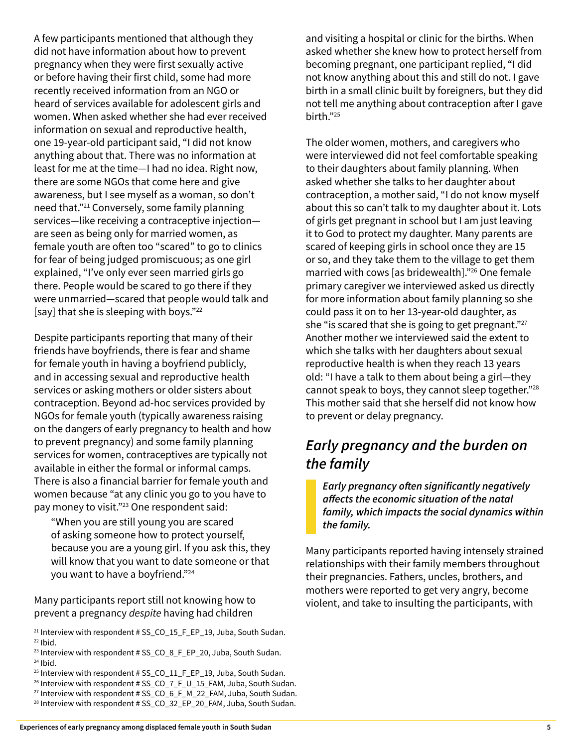A few participants mentioned that although they did not have information about how to prevent pregnancy when they were first sexually active or before having their first child, some had more recently received information from an NGO or heard of services available for adolescent girls and women. When asked whether she had ever received information on sexual and reproductive health, one 19-year-old participant said, "I did not know anything about that. There was no information at least for me at the time—I had no idea. Right now, there are some NGOs that come here and give awareness, but I see myself as a woman, so don't need that."<sup>21</sup> Conversely, some family planning services—like receiving a contraceptive injection are seen as being only for married women, as female youth are often too "scared" to go to clinics for fear of being judged promiscuous; as one girl explained, "I've only ever seen married girls go there. People would be scared to go there if they were unmarried—scared that people would talk and [say] that she is sleeping with boys."<sup>22</sup>

Despite participants reporting that many of their friends have boyfriends, there is fear and shame for female youth in having a boyfriend publicly, and in accessing sexual and reproductive health services or asking mothers or older sisters about contraception. Beyond ad-hoc services provided by NGOs for female youth (typically awareness raising on the dangers of early pregnancy to health and how to prevent pregnancy) and some family planning services for women, contraceptives are typically not available in either the formal or informal camps. There is also a financial barrier for female youth and women because "at any clinic you go to you have to pay money to visit."<sup>23</sup> One respondent said:

"When you are still young you are scared of asking someone how to protect yourself, because you are a young girl. If you ask this, they will know that you want to date someone or that you want to have a boyfriend."<sup>24</sup>

Many participants report still not knowing how to prevent a pregnancy *despite* having had children

- <sup>23</sup> Interview with respondent # SS\_CO\_8\_F\_EP\_20, Juba, South Sudan.  $24$  Ibid.
- <sup>25</sup> Interview with respondent # SS\_CO\_11\_F\_EP\_19, Juba, South Sudan.
- <sup>26</sup> Interview with respondent # SS\_CO\_7\_F\_U\_15\_FAM, Juba, South Sudan.
- <sup>27</sup> Interview with respondent # SS\_CO\_6\_F\_M\_22\_FAM, Juba, South Sudan.
- <sup>28</sup> Interview with respondent # SS\_CO\_32\_EP\_20\_FAM, Juba, South Sudan.

and visiting a hospital or clinic for the births. When asked whether she knew how to protect herself from becoming pregnant, one participant replied, "I did not know anything about this and still do not. I gave birth in a small clinic built by foreigners, but they did not tell me anything about contraception after I gave birth."<sup>25</sup>

The older women, mothers, and caregivers who were interviewed did not feel comfortable speaking to their daughters about family planning. When asked whether she talks to her daughter about contraception, a mother said, "I do not know myself about this so can't talk to my daughter about it. Lots of girls get pregnant in school but I am just leaving it to God to protect my daughter. Many parents are scared of keeping girls in school once they are 15 or so, and they take them to the village to get them married with cows [as bridewealth]."<sup>26</sup> One female primary caregiver we interviewed asked us directly for more information about family planning so she could pass it on to her 13-year-old daughter, as she "is scared that she is going to get pregnant." $27$ Another mother we interviewed said the extent to which she talks with her daughters about sexual reproductive health is when they reach 13 years old: "I have a talk to them about being a girl—they cannot speak to boys, they cannot sleep together."<sup>28</sup> This mother said that she herself did not know how to prevent or delay pregnancy.

#### *Early pregnancy and the burden on the family*

*Early pregnancy often significantly negatively affects the economic situation of the natal family, which impacts the social dynamics within the family.* 

Many participants reported having intensely strained relationships with their family members throughout their pregnancies. Fathers, uncles, brothers, and mothers were reported to get very angry, become violent, and take to insulting the participants, with

 $21$  Interview with respondent # SS\_CO\_15\_F\_EP\_19, Juba, South Sudan.  $22$  Ibid.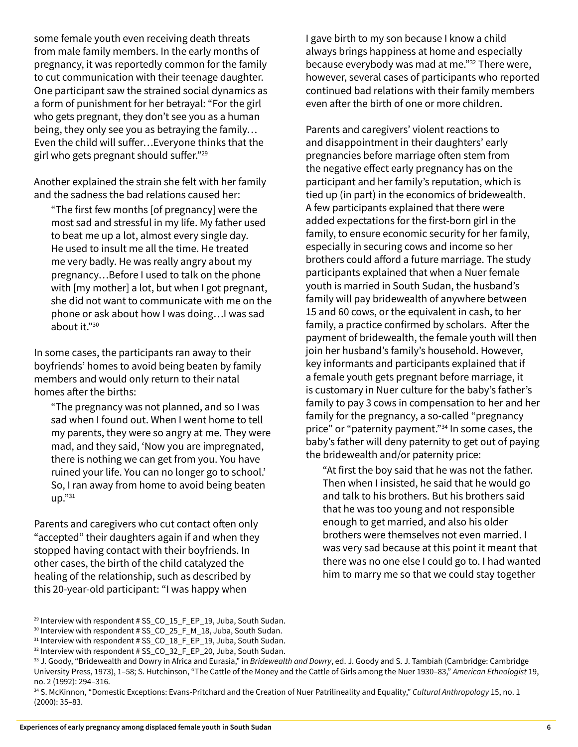to cut communication with their teenage daughter. One participant saw the strained social dynamics as a form of punishment for her betrayal: "For the girl who gets pregnant, they don't see you as a human being, they only see you as betraying the family… Even the child will suffer…Everyone thinks that the girl who gets pregnant should suffer."29 Another explained the strain she felt with her family and the sadness the bad relations caused her:

some female youth even receiving death threats from male family members. In the early months of pregnancy, it was reportedly common for the family

"The first few months [of pregnancy] were the most sad and stressful in my life. My father used to beat me up a lot, almost every single day. He used to insult me all the time. He treated me very badly. He was really angry about my pregnancy…Before I used to talk on the phone with [my mother] a lot, but when I got pregnant, she did not want to communicate with me on the phone or ask about how I was doing…I was sad about it."<sup>30</sup>

In some cases, the participants ran away to their boyfriends' homes to avoid being beaten by family members and would only return to their natal homes after the births:

"The pregnancy was not planned, and so I was sad when I found out. When I went home to tell my parents, they were so angry at me. They were mad, and they said, 'Now you are impregnated, there is nothing we can get from you. You have ruined your life. You can no longer go to school.' So, I ran away from home to avoid being beaten up."<sup>31</sup>

Parents and caregivers who cut contact often only "accepted" their daughters again if and when they stopped having contact with their boyfriends. In other cases, the birth of the child catalyzed the healing of the relationship, such as described by this 20-year-old participant: "I was happy when

I gave birth to my son because I know a child always brings happiness at home and especially because everybody was mad at me."<sup>32</sup> There were, however, several cases of participants who reported continued bad relations with their family members even after the birth of one or more children.

Parents and caregivers' violent reactions to and disappointment in their daughters' early pregnancies before marriage often stem from the negative effect early pregnancy has on the participant and her family's reputation, which is tied up (in part) in the economics of bridewealth. A few participants explained that there were added expectations for the first-born girl in the family, to ensure economic security for her family, especially in securing cows and income so her brothers could afford a future marriage. The study participants explained that when a Nuer female youth is married in South Sudan, the husband's family will pay bridewealth of anywhere between 15 and 60 cows, or the equivalent in cash, to her family, a practice confirmed by scholars. After the payment of bridewealth, the female youth will then join her husband's family's household. However, key informants and participants explained that if a female youth gets pregnant before marriage, it is customary in Nuer culture for the baby's father's family to pay 3 cows in compensation to her and her family for the pregnancy, a so-called "pregnancy price" or "paternity payment."<sup>34</sup> In some cases, the baby's father will deny paternity to get out of paying the bridewealth and/or paternity price:

"At first the boy said that he was not the father. Then when I insisted, he said that he would go and talk to his brothers. But his brothers said that he was too young and not responsible enough to get married, and also his older brothers were themselves not even married. I was very sad because at this point it meant that there was no one else I could go to. I had wanted him to marry me so that we could stay together

<sup>&</sup>lt;sup>29</sup> Interview with respondent # SS\_CO\_15\_F\_EP\_19, Juba, South Sudan.

<sup>&</sup>lt;sup>30</sup> Interview with respondent # SS\_CO\_25\_F\_M\_18, Juba, South Sudan.

<sup>&</sup>lt;sup>31</sup> Interview with respondent # SS\_CO\_18\_F\_EP\_19, Juba, South Sudan.

<sup>&</sup>lt;sup>32</sup> Interview with respondent # SS\_CO\_32\_F\_EP\_20, Juba, South Sudan.

<sup>33</sup> J. Goody, "Bridewealth and Dowry in Africa and Eurasia," in *Bridewealth and Dowry*, ed. J. Goody and S. J. Tambiah (Cambridge: Cambridge University Press, 1973), 1–58; S. Hutchinson, "The Cattle of the Money and the Cattle of Girls among the Nuer 1930–83," *American Ethnologist* 19, no. 2 (1992): 294–316.

<sup>34</sup> S. McKinnon, "Domestic Exceptions: Evans-Pritchard and the Creation of Nuer Patrilineality and Equality," *Cultural Anthropology* 15, no. 1 (2000): 35–83.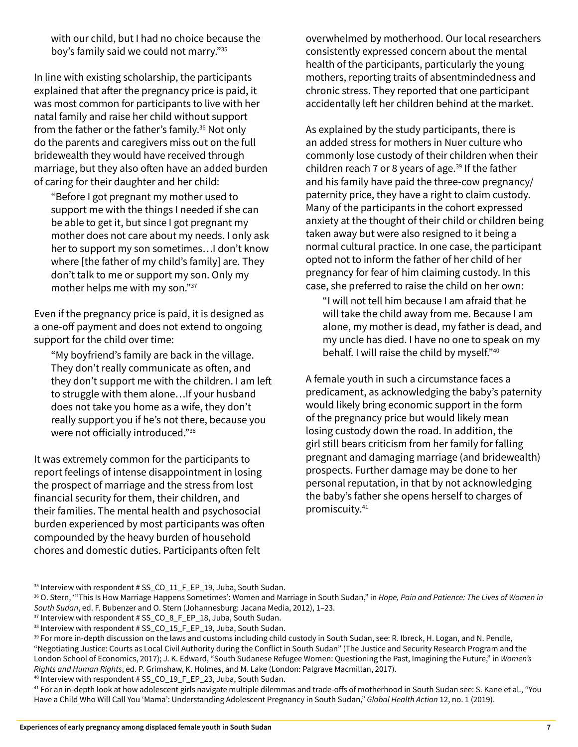with our child, but I had no choice because the boy's family said we could not marry."35

In line with existing scholarship, the participants explained that after the pregnancy price is paid, it was most common for participants to live with her natal family and raise her child without support from the father or the father's family.<sup>36</sup> Not only do the parents and caregivers miss out on the full bridewealth they would have received through marriage, but they also often have an added burden of caring for their daughter and her child:

"Before I got pregnant my mother used to support me with the things I needed if she can be able to get it, but since I got pregnant my mother does not care about my needs. I only ask her to support my son sometimes…I don't know where [the father of my child's family] are. They don't talk to me or support my son. Only my mother helps me with my son."<sup>37</sup>

Even if the pregnancy price is paid, it is designed as a one-off payment and does not extend to ongoing support for the child over time:

"My boyfriend's family are back in the village. They don't really communicate as often, and they don't support me with the children. I am left to struggle with them alone…If your husband does not take you home as a wife, they don't really support you if he's not there, because you were not officially introduced."38

It was extremely common for the participants to report feelings of intense disappointment in losing the prospect of marriage and the stress from lost financial security for them, their children, and their families. The mental health and psychosocial burden experienced by most participants was often compounded by the heavy burden of household chores and domestic duties. Participants often felt

overwhelmed by motherhood. Our local researchers consistently expressed concern about the mental health of the participants, particularly the young mothers, reporting traits of absentmindedness and chronic stress. They reported that one participant accidentally left her children behind at the market.

As explained by the study participants, there is an added stress for mothers in Nuer culture who commonly lose custody of their children when their children reach 7 or 8 years of age. $39$  If the father and his family have paid the three-cow pregnancy/ paternity price, they have a right to claim custody. Many of the participants in the cohort expressed anxiety at the thought of their child or children being taken away but were also resigned to it being a normal cultural practice. In one case, the participant opted not to inform the father of her child of her pregnancy for fear of him claiming custody. In this case, she preferred to raise the child on her own:

"I will not tell him because I am afraid that he will take the child away from me. Because I am alone, my mother is dead, my father is dead, and my uncle has died. I have no one to speak on my behalf. I will raise the child by myself."<sup>40</sup>

A female youth in such a circumstance faces a predicament, as acknowledging the baby's paternity would likely bring economic support in the form of the pregnancy price but would likely mean losing custody down the road. In addition, the girl still bears criticism from her family for falling pregnant and damaging marriage (and bridewealth) prospects. Further damage may be done to her personal reputation, in that by not acknowledging the baby's father she opens herself to charges of promiscuity.<sup>41</sup>

<sup>35</sup> Interview with respondent # SS\_CO\_11\_F\_EP\_19, Juba, South Sudan.

40 Interview with respondent # SS\_CO\_19\_F\_EP\_23, Juba, South Sudan.

<sup>41</sup> For an in-depth look at how adolescent girls navigate multiple dilemmas and trade-offs of motherhood in South Sudan see: S. Kane et al., "You Have a Child Who Will Call You 'Mama': Understanding Adolescent Pregnancy in South Sudan," *Global Health Action* 12, no. 1 (2019).

<sup>36</sup> O. Stern, "'This Is How Marriage Happens Sometimes': Women and Marriage in South Sudan," in *Hope, Pain and Patience: The Lives of Women in South Sudan*, ed. F. Bubenzer and O. Stern (Johannesburg: Jacana Media, 2012), 1–23.

<sup>&</sup>lt;sup>37</sup> Interview with respondent # SS\_CO\_8\_F\_EP\_18, Juba, South Sudan.

<sup>38</sup> Interview with respondent # SS\_CO\_15\_F\_EP\_19, Juba, South Sudan.

<sup>39</sup> For more in-depth discussion on the laws and customs including child custody in South Sudan, see: R. Ibreck, H. Logan, and N. Pendle, "Negotiating Justice: Courts as Local Civil Authority during the Conflict in South Sudan" (The Justice and Security Research Program and the London School of Economics, 2017); J. K. Edward, "South Sudanese Refugee Women: Questioning the Past, Imagining the Future," in *Women's Rights and Human Rights*, ed. P. Grimshaw, K. Holmes, and M. Lake (London: Palgrave Macmillan, 2017).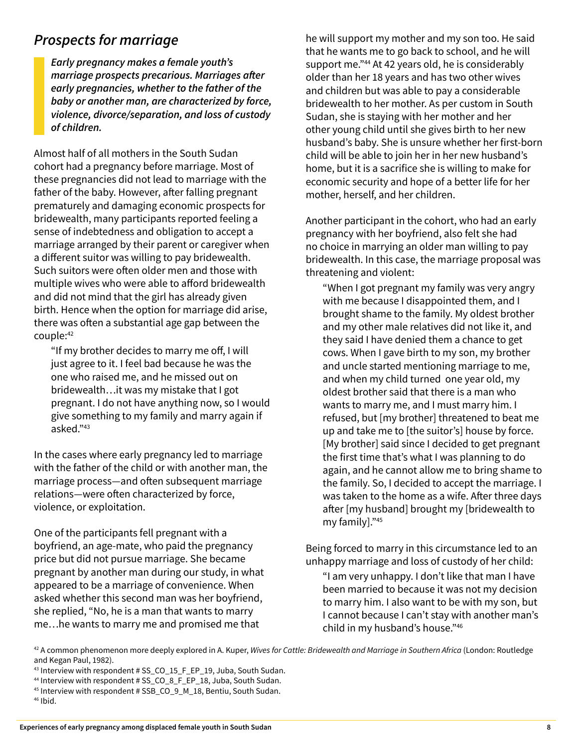#### *Prospects for marriage*

*Early pregnancy makes a female youth's marriage prospects precarious. Marriages after early pregnancies, whether to the father of the baby or another man, are characterized by force, violence, divorce/separation, and loss of custody of children.* 

Almost half of all mothers in the South Sudan cohort had a pregnancy before marriage. Most of these pregnancies did not lead to marriage with the father of the baby. However, after falling pregnant prematurely and damaging economic prospects for bridewealth, many participants reported feeling a sense of indebtedness and obligation to accept a marriage arranged by their parent or caregiver when a different suitor was willing to pay bridewealth. Such suitors were often older men and those with multiple wives who were able to afford bridewealth and did not mind that the girl has already given birth. Hence when the option for marriage did arise, there was often a substantial age gap between the couple:42

"If my brother decides to marry me off, I will just agree to it. I feel bad because he was the one who raised me, and he missed out on bridewealth…it was my mistake that I got pregnant. I do not have anything now, so I would give something to my family and marry again if asked."<sup>43</sup>

In the cases where early pregnancy led to marriage with the father of the child or with another man, the marriage process—and often subsequent marriage relations—were often characterized by force, violence, or exploitation.

One of the participants fell pregnant with a boyfriend, an age-mate, who paid the pregnancy price but did not pursue marriage. She became pregnant by another man during our study, in what appeared to be a marriage of convenience. When asked whether this second man was her boyfriend, she replied, "No, he is a man that wants to marry me…he wants to marry me and promised me that

he will support my mother and my son too. He said that he wants me to go back to school, and he will support me."<sup>44</sup> At 42 years old, he is considerably older than her 18 years and has two other wives and children but was able to pay a considerable bridewealth to her mother. As per custom in South Sudan, she is staying with her mother and her other young child until she gives birth to her new husband's baby. She is unsure whether her first-born child will be able to join her in her new husband's home, but it is a sacrifice she is willing to make for economic security and hope of a better life for her mother, herself, and her children.

Another participant in the cohort, who had an early pregnancy with her boyfriend, also felt she had no choice in marrying an older man willing to pay bridewealth. In this case, the marriage proposal was threatening and violent:

"When I got pregnant my family was very angry with me because I disappointed them, and I brought shame to the family. My oldest brother and my other male relatives did not like it, and they said I have denied them a chance to get cows. When I gave birth to my son, my brother and uncle started mentioning marriage to me, and when my child turned one year old, my oldest brother said that there is a man who wants to marry me, and I must marry him. I refused, but [my brother] threatened to beat me up and take me to [the suitor's] house by force. [My brother] said since I decided to get pregnant the first time that's what I was planning to do again, and he cannot allow me to bring shame to the family. So, I decided to accept the marriage. I was taken to the home as a wife. After three days after [my husband] brought my [bridewealth to my family]."<sup>45</sup>

Being forced to marry in this circumstance led to an unhappy marriage and loss of custody of her child:

"I am very unhappy. I don't like that man I have been married to because it was not my decision to marry him. I also want to be with my son, but I cannot because I can't stay with another man's child in my husband's house."46

43 Interview with respondent # SS\_CO\_15\_F\_EP\_19, Juba, South Sudan.

<sup>42</sup> A common phenomenon more deeply explored in A. Kuper, *Wives for Cattle: Bridewealth and Marriage in Southern Africa* (London: Routledge and Kegan Paul, 1982).

<sup>44</sup> Interview with respondent # SS\_CO\_8\_F\_EP\_18, Juba, South Sudan.

<sup>45</sup> Interview with respondent # SSB\_CO\_9\_M\_18, Bentiu, South Sudan. 46 Ibid.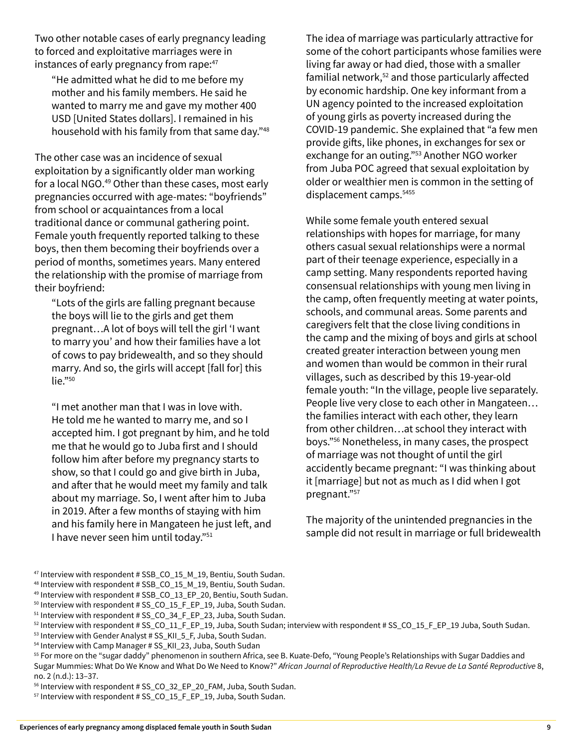Two other notable cases of early pregnancy leading to forced and exploitative marriages were in instances of early pregnancy from rape:<sup>47</sup>

"He admitted what he did to me before my mother and his family members. He said he wanted to marry me and gave my mother 400 USD [United States dollars]. I remained in his household with his family from that same day."48

The other case was an incidence of sexual exploitation by a significantly older man working for a local NGO.<sup>49</sup> Other than these cases, most early pregnancies occurred with age-mates: "boyfriends" from school or acquaintances from a local traditional dance or communal gathering point. Female youth frequently reported talking to these boys, then them becoming their boyfriends over a period of months, sometimes years. Many entered the relationship with the promise of marriage from their boyfriend:

"Lots of the girls are falling pregnant because the boys will lie to the girls and get them pregnant…A lot of boys will tell the girl 'I want to marry you' and how their families have a lot of cows to pay bridewealth, and so they should marry. And so, the girls will accept [fall for] this  $lie.$ "<sup>50</sup>

"I met another man that I was in love with. He told me he wanted to marry me, and so I accepted him. I got pregnant by him, and he told me that he would go to Juba first and I should follow him after before my pregnancy starts to show, so that I could go and give birth in Juba, and after that he would meet my family and talk about my marriage. So, I went after him to Juba in 2019. After a few months of staying with him and his family here in Mangateen he just left, and I have never seen him until today."51

The idea of marriage was particularly attractive for some of the cohort participants whose families were living far away or had died, those with a smaller familial network,<sup>52</sup> and those particularly affected by economic hardship. One key informant from a UN agency pointed to the increased exploitation of young girls as poverty increased during the COVID-19 pandemic. She explained that "a few men provide gifts, like phones, in exchanges for sex or exchange for an outing."<sup>53</sup> Another NGO worker from Juba POC agreed that sexual exploitation by older or wealthier men is common in the setting of displacement camps.<sup>5455</sup>

While some female youth entered sexual relationships with hopes for marriage, for many others casual sexual relationships were a normal part of their teenage experience, especially in a camp setting. Many respondents reported having consensual relationships with young men living in the camp, often frequently meeting at water points, schools, and communal areas. Some parents and caregivers felt that the close living conditions in the camp and the mixing of boys and girls at school created greater interaction between young men and women than would be common in their rural villages, such as described by this 19-year-old female youth: "In the village, people live separately. People live very close to each other in Mangateen… the families interact with each other, they learn from other children…at school they interact with boys."56 Nonetheless, in many cases, the prospect of marriage was not thought of until the girl accidently became pregnant: "I was thinking about it [marriage] but not as much as I did when I got pregnant."57

The majority of the unintended pregnancies in the sample did not result in marriage or full bridewealth

- 47 Interview with respondent # SSB\_CO\_15\_M\_19, Bentiu, South Sudan.
- 48 Interview with respondent # SSB\_CO\_15\_M\_19, Bentiu, South Sudan.
- 49 Interview with respondent # SSB\_CO\_13\_EP\_20, Bentiu, South Sudan.
- $50$  Interview with respondent # SS CO 15 F EP 19, Juba, South Sudan.
- <sup>51</sup> Interview with respondent # SS\_CO\_34\_F\_EP\_23, Juba, South Sudan.

- 53 Interview with Gender Analyst # SS\_KII\_5\_F, Juba, South Sudan.
- 54 Interview with Camp Manager # SS\_KII\_23, Juba, South Sudan

<sup>55</sup> For more on the "sugar daddy" phenomenon in southern Africa, see B. Kuate-Defo, "Young People's Relationships with Sugar Daddies and Sugar Mummies: What Do We Know and What Do We Need to Know?" *African Journal of Reproductive Health/La Revue de La Santé Reproductive* 8, no. 2 (n.d.): 13–37.

<sup>56</sup> Interview with respondent # SS\_CO\_32\_EP\_20\_FAM, Juba, South Sudan.

<sup>57</sup> Interview with respondent # SS\_CO\_15\_F\_EP\_19, Juba, South Sudan.

<sup>52</sup> Interview with respondent # SS\_CO\_11\_F\_EP\_19, Juba, South Sudan; interview with respondent # SS\_CO\_15\_F\_EP\_19 Juba, South Sudan.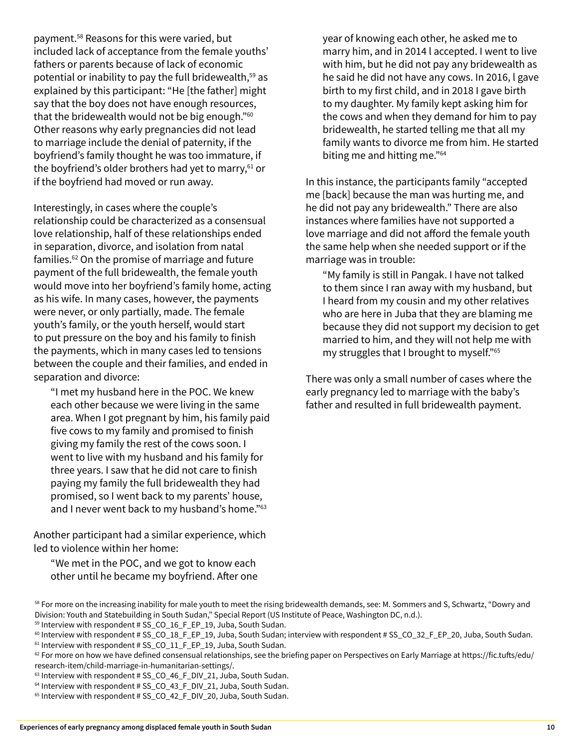payment.58 Reasons for this were varied, but included lack of acceptance from the female youths' fathers or parents because of lack of economic potential or inability to pay the full bridewealth,<sup>59</sup> as explained by this participant: "He [the father] might say that the boy does not have enough resources, that the bridewealth would not be big enough."<sup>60</sup> Other reasons why early pregnancies did not lead to marriage include the denial of paternity, if the boyfriend's family thought he was too immature, if the boyfriend's older brothers had yet to marry,<sup>61</sup> or if the boyfriend had moved or run away.

Interestingly, in cases where the couple's relationship could be characterized as a consensual love relationship, half of these relationships ended in separation, divorce, and isolation from natal families. $62$  On the promise of marriage and future payment of the full bridewealth, the female youth would move into her boyfriend's family home, acting as his wife. In many cases, however, the payments were never, or only partially, made. The female youth's family, or the youth herself, would start to put pressure on the boy and his family to finish the payments, which in many cases led to tensions between the couple and their families, and ended in separation and divorce:

"I met my husband here in the POC. We knew each other because we were living in the same area. When I got pregnant by him, his family paid five cows to my family and promised to finish giving my family the rest of the cows soon. I went to live with my husband and his family for three years. I saw that he did not care to finish paying my family the full bridewealth they had promised, so I went back to my parents' house, and I never went back to my husband's home."<sup>63</sup>

Another participant had a similar experience, which led to violence within her home:

"We met in the POC, and we got to know each other until he became my boyfriend. After one year of knowing each other, he asked me to marry him, and in 2014 l accepted. I went to live with him, but he did not pay any bridewealth as he said he did not have any cows. In 2016, l gave birth to my first child, and in 2018 I gave birth to my daughter. My family kept asking him for the cows and when they demand for him to pay bridewealth, he started telling me that all my family wants to divorce me from him. He started biting me and hitting me."<sup>64</sup>

In this instance, the participants family "accepted me [back] because the man was hurting me, and he did not pay any bridewealth." There are also instances where families have not supported a love marriage and did not afford the female youth the same help when she needed support or if the marriage was in trouble:

"My family is still in Pangak. I have not talked to them since I ran away with my husband, but I heard from my cousin and my other relatives who are here in Juba that they are blaming me because they did not support my decision to get married to him, and they will not help me with my struggles that I brought to myself."65

There was only a small number of cases where the early pregnancy led to marriage with the baby's father and resulted in full bridewealth payment.

<sup>&</sup>lt;sup>58</sup> For more on the increasing inability for male youth to meet the rising bridewealth demands, see: M. Sommers and S, Schwartz, "Dowry and Division: Youth and Statebuilding in South Sudan," Special Report (US Institute of Peace, Washington DC, n.d.).

 $59$  Interview with respondent # SS CO 16 F EP 19, Juba, South Sudan.

<sup>&</sup>lt;sup>60</sup> Interview with respondent # SS\_CO\_18\_F\_EP\_19, Juba, South Sudan; interview with respondent # SS\_CO\_32\_F\_EP\_20, Juba, South Sudan. <sup>61</sup> Interview with respondent # SS\_CO\_11\_F\_EP\_19, Juba, South Sudan.

 $62$  For more on how we have defined consensual relationships, see the briefing paper on Perspectives on Early Marriage at [https://fic.tufts/edu/]( https://fic.tufts/edu/research-item/child-marriage-in-humanitarian-settings/) [research-item/child-marriage-in-humanitarian-settings/]( https://fic.tufts/edu/research-item/child-marriage-in-humanitarian-settings/).

<sup>&</sup>lt;sup>63</sup> Interview with respondent # SS\_CO\_46\_F\_DIV\_21, Juba, South Sudan.

<sup>&</sup>lt;sup>64</sup> Interview with respondent # SS\_CO\_43\_F\_DIV\_21, Juba, South Sudan.

<sup>&</sup>lt;sup>65</sup> Interview with respondent # SS\_CO\_42\_F\_DIV\_20, Juba, South Sudan.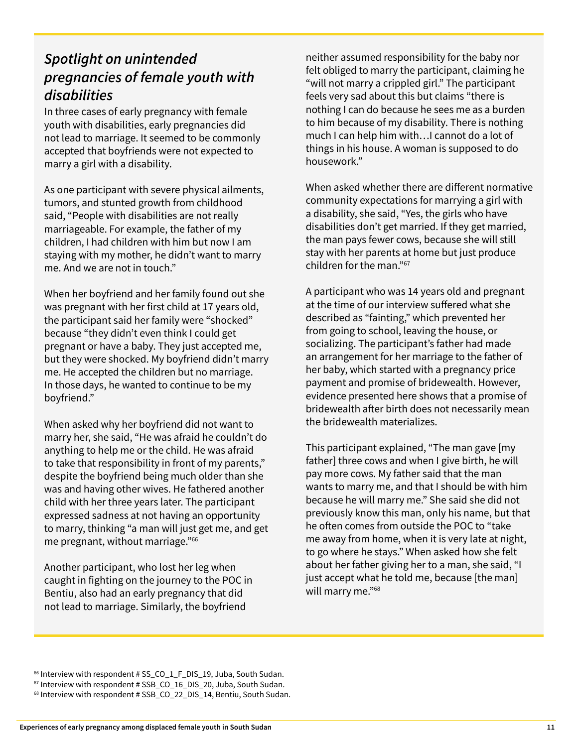#### *Spotlight on unintended pregnancies of female youth with disabilities*

In three cases of early pregnancy with female youth with disabilities, early pregnancies did not lead to marriage. It seemed to be commonly accepted that boyfriends were not expected to marry a girl with a disability.

As one participant with severe physical ailments, tumors, and stunted growth from childhood said, "People with disabilities are not really marriageable. For example, the father of my children, I had children with him but now I am staying with my mother, he didn't want to marry me. And we are not in touch."

When her boyfriend and her family found out she was pregnant with her first child at 17 years old, the participant said her family were "shocked" because "they didn't even think I could get pregnant or have a baby. They just accepted me, but they were shocked. My boyfriend didn't marry me. He accepted the children but no marriage. In those days, he wanted to continue to be my boyfriend."

When asked why her boyfriend did not want to marry her, she said, "He was afraid he couldn't do anything to help me or the child. He was afraid to take that responsibility in front of my parents," despite the boyfriend being much older than she was and having other wives. He fathered another child with her three years later. The participant expressed sadness at not having an opportunity to marry, thinking "a man will just get me, and get me pregnant, without marriage."66

Another participant, who lost her leg when caught in fighting on the journey to the POC in Bentiu, also had an early pregnancy that did not lead to marriage. Similarly, the boyfriend

neither assumed responsibility for the baby nor felt obliged to marry the participant, claiming he "will not marry a crippled girl." The participant feels very sad about this but claims "there is nothing I can do because he sees me as a burden to him because of my disability. There is nothing much I can help him with…I cannot do a lot of things in his house. A woman is supposed to do housework."

When asked whether there are different normative community expectations for marrying a girl with a disability, she said, "Yes, the girls who have disabilities don't get married. If they get married, the man pays fewer cows, because she will still stay with her parents at home but just produce children for the man."67

A participant who was 14 years old and pregnant at the time of our interview suffered what she described as "fainting," which prevented her from going to school, leaving the house, or socializing. The participant's father had made an arrangement for her marriage to the father of her baby, which started with a pregnancy price payment and promise of bridewealth. However, evidence presented here shows that a promise of bridewealth after birth does not necessarily mean the bridewealth materializes.

This participant explained, "The man gave [my father] three cows and when I give birth, he will pay more cows. My father said that the man wants to marry me, and that I should be with him because he will marry me." She said she did not previously know this man, only his name, but that he often comes from outside the POC to "take me away from home, when it is very late at night, to go where he stays." When asked how she felt about her father giving her to a man, she said, "I just accept what he told me, because [the man] will marry me."<sup>68</sup>

 $66$  Interview with respondent # SS\_CO\_1\_F\_DIS\_19, Juba, South Sudan.

 $67$  Interview with respondent # SSB\_CO\_16\_DIS\_20, Juba, South Sudan.

<sup>68</sup> Interview with respondent # SSB\_CO\_22\_DIS\_14, Bentiu, South Sudan.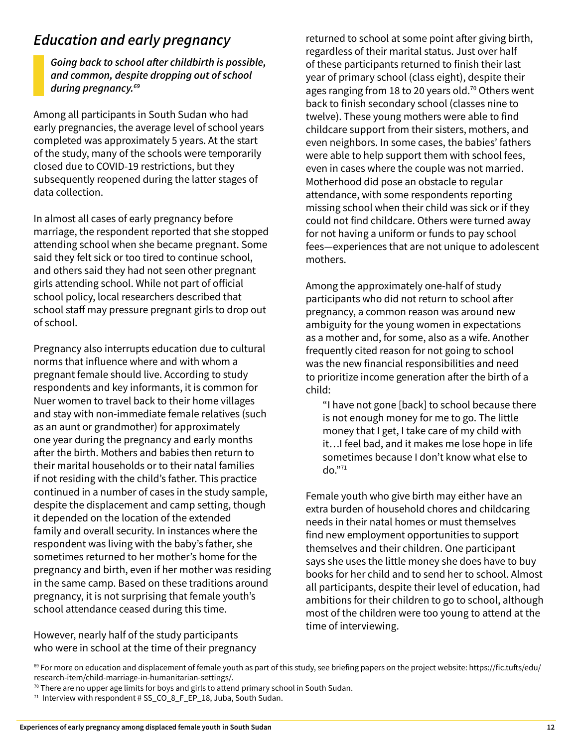#### *Education and early pregnancy*

*Going back to school after childbirth is possible, and common, despite dropping out of school during pregnancy.69*

Among all participants in South Sudan who had early pregnancies, the average level of school years completed was approximately 5 years. At the start of the study, many of the schools were temporarily closed due to COVID-19 restrictions, but they subsequently reopened during the latter stages of data collection.

In almost all cases of early pregnancy before marriage, the respondent reported that she stopped attending school when she became pregnant. Some said they felt sick or too tired to continue school, and others said they had not seen other pregnant girls attending school. While not part of official school policy, local researchers described that school staff may pressure pregnant girls to drop out of school.

Pregnancy also interrupts education due to cultural norms that influence where and with whom a pregnant female should live. According to study respondents and key informants, it is common for Nuer women to travel back to their home villages and stay with non-immediate female relatives (such as an aunt or grandmother) for approximately one year during the pregnancy and early months after the birth. Mothers and babies then return to their marital households or to their natal families if not residing with the child's father. This practice continued in a number of cases in the study sample, despite the displacement and camp setting, though it depended on the location of the extended family and overall security. In instances where the respondent was living with the baby's father, she sometimes returned to her mother's home for the pregnancy and birth, even if her mother was residing in the same camp. Based on these traditions around pregnancy, it is not surprising that female youth's school attendance ceased during this time.

However, nearly half of the study participants who were in school at the time of their pregnancy returned to school at some point after giving birth, regardless of their marital status. Just over half of these participants returned to finish their last year of primary school (class eight), despite their ages ranging from 18 to 20 years old.<sup>70</sup> Others went back to finish secondary school (classes nine to twelve). These young mothers were able to find childcare support from their sisters, mothers, and even neighbors. In some cases, the babies' fathers were able to help support them with school fees, even in cases where the couple was not married. Motherhood did pose an obstacle to regular attendance, with some respondents reporting missing school when their child was sick or if they could not find childcare. Others were turned away for not having a uniform or funds to pay school fees—experiences that are not unique to adolescent mothers.

Among the approximately one-half of study participants who did not return to school after pregnancy, a common reason was around new ambiguity for the young women in expectations as a mother and, for some, also as a wife. Another frequently cited reason for not going to school was the new financial responsibilities and need to prioritize income generation after the birth of a child:

"I have not gone [back] to school because there is not enough money for me to go. The little money that I get, I take care of my child with it…I feel bad, and it makes me lose hope in life sometimes because I don't know what else to do."71

Female youth who give birth may either have an extra burden of household chores and childcaring needs in their natal homes or must themselves find new employment opportunities to support themselves and their children. One participant says she uses the little money she does have to buy books for her child and to send her to school. Almost all participants, despite their level of education, had ambitions for their children to go to school, although most of the children were too young to attend at the time of interviewing.

70 There are no upper age limits for boys and girls to attend primary school in South Sudan.

 $69$  For more on education and displacement of female youth as part of this study, see briefing papers on the project website: [https://fic.tufts/edu/](https://fic.tufts/edu/research-item/child-marriage-in-humanitarian-settings/) [research-item/child-marriage-in-humanitarian-settings/](https://fic.tufts/edu/research-item/child-marriage-in-humanitarian-settings/).

 $71$  Interview with respondent # SS\_CO\_8\_F\_EP\_18, Juba, South Sudan.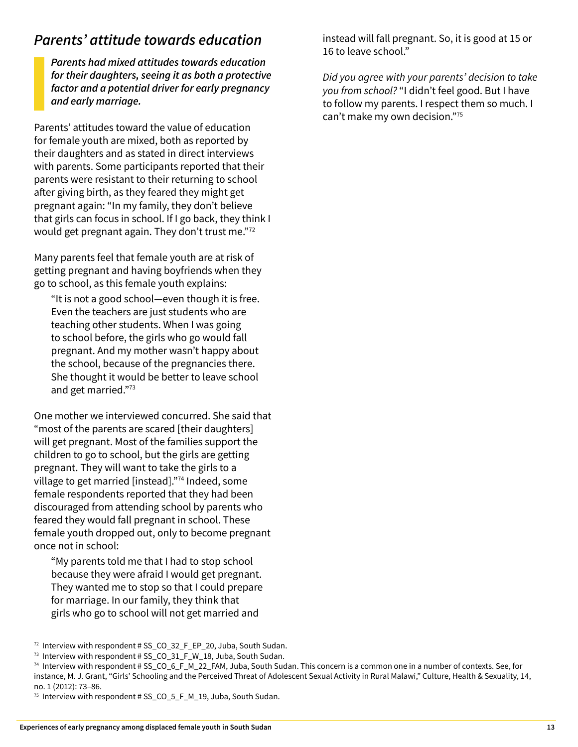#### *Parents' attitude towards education*

*Parents had mixed attitudes towards education for their daughters, seeing it as both a protective factor and a potential driver for early pregnancy and early marriage.* 

Parents' attitudes toward the value of education for female youth are mixed, both as reported by their daughters and as stated in direct interviews with parents. Some participants reported that their parents were resistant to their returning to school after giving birth, as they feared they might get pregnant again: "In my family, they don't believe that girls can focus in school. If I go back, they think I would get pregnant again. They don't trust me."72

Many parents feel that female youth are at risk of getting pregnant and having boyfriends when they go to school, as this female youth explains:

"It is not a good school—even though it is free. Even the teachers are just students who are teaching other students. When I was going to school before, the girls who go would fall pregnant. And my mother wasn't happy about the school, because of the pregnancies there. She thought it would be better to leave school and get married."<sup>73</sup>

One mother we interviewed concurred. She said that "most of the parents are scared [their daughters] will get pregnant. Most of the families support the children to go to school, but the girls are getting pregnant. They will want to take the girls to a village to get married [instead]."<sup>74</sup> Indeed, some female respondents reported that they had been discouraged from attending school by parents who feared they would fall pregnant in school. These female youth dropped out, only to become pregnant once not in school:

"My parents told me that I had to stop school because they were afraid I would get pregnant. They wanted me to stop so that I could prepare for marriage. In our family, they think that girls who go to school will not get married and

instead will fall pregnant. So, it is good at 15 or 16 to leave school."

*Did you agree with your parents' decision to take you from school?* "I didn't feel good. But I have to follow my parents. I respect them so much. I can't make my own decision."<sup>75</sup>

 $72$  Interview with respondent # SS\_CO\_32\_F\_EP\_20, Juba, South Sudan.

<sup>73</sup> Interview with respondent # SS\_CO\_31\_F\_W\_18, Juba, South Sudan.

 $74$  Interview with respondent # SS\_CO\_6\_F\_M\_22\_FAM, Juba, South Sudan. This concern is a common one in a number of contexts. See, for instance, M. J. Grant, "Girls' Schooling and the Perceived Threat of Adolescent Sexual Activity in Rural Malawi," Culture, Health & Sexuality, 14, no. 1 (2012): 73–86.

 $75$  Interview with respondent # SS\_CO\_5\_F\_M\_19, Juba, South Sudan.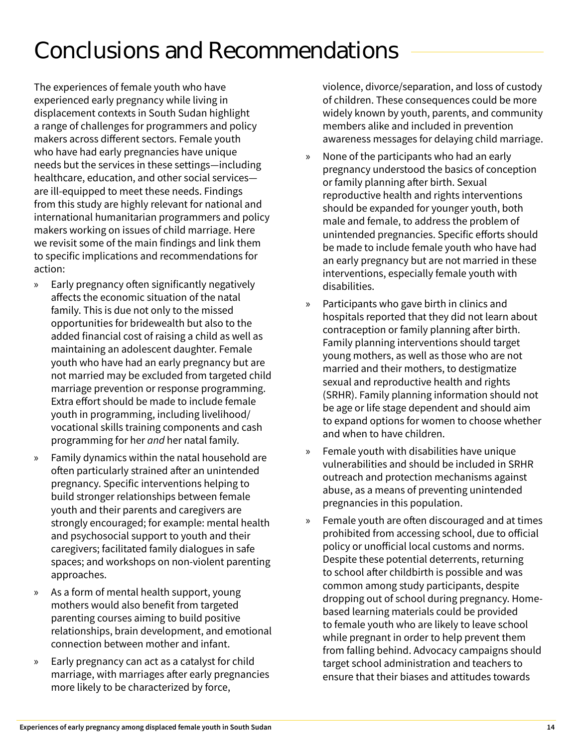### Conclusions and Recommendations

The experiences of female youth who have experienced early pregnancy while living in displacement contexts in South Sudan highlight a range of challenges for programmers and policy makers across different sectors. Female youth who have had early pregnancies have unique needs but the services in these settings—including healthcare, education, and other social services are ill-equipped to meet these needs. Findings from this study are highly relevant for national and international humanitarian programmers and policy makers working on issues of child marriage. Here we revisit some of the main findings and link them to specific implications and recommendations for action:

- » Early pregnancy often significantly negatively affects the economic situation of the natal family. This is due not only to the missed opportunities for bridewealth but also to the added financial cost of raising a child as well as maintaining an adolescent daughter. Female youth who have had an early pregnancy but are not married may be excluded from targeted child marriage prevention or response programming. Extra effort should be made to include female youth in programming, including livelihood/ vocational skills training components and cash programming for her *and* her natal family.
- » Family dynamics within the natal household are often particularly strained after an unintended pregnancy. Specific interventions helping to build stronger relationships between female youth and their parents and caregivers are strongly encouraged; for example: mental health and psychosocial support to youth and their caregivers; facilitated family dialogues in safe spaces; and workshops on non-violent parenting approaches.
- » As a form of mental health support, young mothers would also benefit from targeted parenting courses aiming to build positive relationships, brain development, and emotional connection between mother and infant.
- » Early pregnancy can act as a catalyst for child marriage, with marriages after early pregnancies more likely to be characterized by force,

violence, divorce/separation, and loss of custody of children. These consequences could be more widely known by youth, parents, and community members alike and included in prevention awareness messages for delaying child marriage.

- » None of the participants who had an early pregnancy understood the basics of conception or family planning after birth. Sexual reproductive health and rights interventions should be expanded for younger youth, both male and female, to address the problem of unintended pregnancies. Specific efforts should be made to include female youth who have had an early pregnancy but are not married in these interventions, especially female youth with disabilities.
- » Participants who gave birth in clinics and hospitals reported that they did not learn about contraception or family planning after birth. Family planning interventions should target young mothers, as well as those who are not married and their mothers, to destigmatize sexual and reproductive health and rights (SRHR). Family planning information should not be age or life stage dependent and should aim to expand options for women to choose whether and when to have children.
- » Female youth with disabilities have unique vulnerabilities and should be included in SRHR outreach and protection mechanisms against abuse, as a means of preventing unintended pregnancies in this population.
- » Female youth are often discouraged and at times prohibited from accessing school, due to official policy or unofficial local customs and norms. Despite these potential deterrents, returning to school after childbirth is possible and was common among study participants, despite dropping out of school during pregnancy. Homebased learning materials could be provided to female youth who are likely to leave school while pregnant in order to help prevent them from falling behind. Advocacy campaigns should target school administration and teachers to ensure that their biases and attitudes towards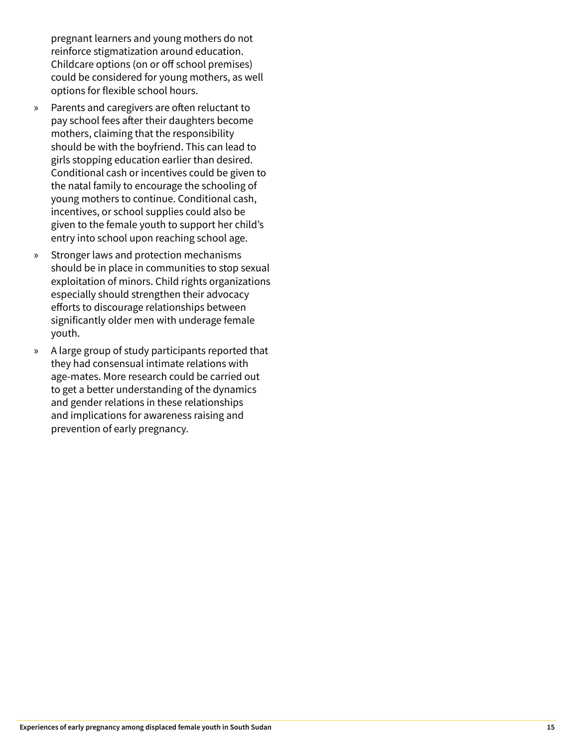pregnant learners and young mothers do not reinforce stigmatization around education. Childcare options (on or off school premises) could be considered for young mothers, as well options for flexible school hours.

- » Parents and caregivers are often reluctant to pay school fees after their daughters become mothers, claiming that the responsibility should be with the boyfriend. This can lead to girls stopping education earlier than desired. Conditional cash or incentives could be given to the natal family to encourage the schooling of young mothers to continue. Conditional cash, incentives, or school supplies could also be given to the female youth to support her child's entry into school upon reaching school age.
- » Stronger laws and protection mechanisms should be in place in communities to stop sexual exploitation of minors. Child rights organizations especially should strengthen their advocacy efforts to discourage relationships between significantly older men with underage female youth.
- » A large group of study participants reported that they had consensual intimate relations with age-mates. More research could be carried out to get a better understanding of the dynamics and gender relations in these relationships and implications for awareness raising and prevention of early pregnancy.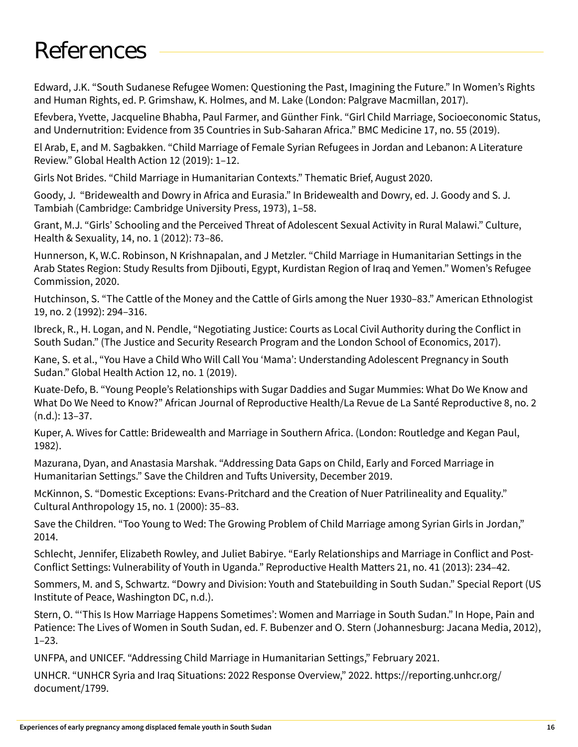### References

Edward, J.K. "South Sudanese Refugee Women: Questioning the Past, Imagining the Future." In Women's Rights and Human Rights, ed. P. Grimshaw, K. Holmes, and M. Lake (London: Palgrave Macmillan, 2017).

Efevbera, Yvette, Jacqueline Bhabha, Paul Farmer, and Günther Fink. "Girl Child Marriage, Socioeconomic Status, and Undernutrition: Evidence from 35 Countries in Sub-Saharan Africa." BMC Medicine 17, no. 55 (2019).

El Arab, E, and M. Sagbakken. "Child Marriage of Female Syrian Refugees in Jordan and Lebanon: A Literature Review." Global Health Action 12 (2019): 1–12.

Girls Not Brides. "Child Marriage in Humanitarian Contexts." Thematic Brief, August 2020.

Goody, J. "Bridewealth and Dowry in Africa and Eurasia." In Bridewealth and Dowry, ed. J. Goody and S. J. Tambiah (Cambridge: Cambridge University Press, 1973), 1–58.

Grant, M.J. "Girls' Schooling and the Perceived Threat of Adolescent Sexual Activity in Rural Malawi." Culture, Health & Sexuality, 14, no. 1 (2012): 73–86.

Hunnerson, K, W.C. Robinson, N Krishnapalan, and J Metzler. "Child Marriage in Humanitarian Settings in the Arab States Region: Study Results from Djibouti, Egypt, Kurdistan Region of Iraq and Yemen." Women's Refugee Commission, 2020.

Hutchinson, S. "The Cattle of the Money and the Cattle of Girls among the Nuer 1930–83." American Ethnologist 19, no. 2 (1992): 294–316.

Ibreck, R., H. Logan, and N. Pendle, "Negotiating Justice: Courts as Local Civil Authority during the Conflict in South Sudan." (The Justice and Security Research Program and the London School of Economics, 2017).

Kane, S. et al., "You Have a Child Who Will Call You 'Mama': Understanding Adolescent Pregnancy in South Sudan." Global Health Action 12, no. 1 (2019).

Kuate-Defo, B. "Young People's Relationships with Sugar Daddies and Sugar Mummies: What Do We Know and What Do We Need to Know?" African Journal of Reproductive Health/La Revue de La Santé Reproductive 8, no. 2 (n.d.): 13–37.

Kuper, A. Wives for Cattle: Bridewealth and Marriage in Southern Africa. (London: Routledge and Kegan Paul, 1982).

Mazurana, Dyan, and Anastasia Marshak. "Addressing Data Gaps on Child, Early and Forced Marriage in Humanitarian Settings." Save the Children and Tufts University, December 2019.

McKinnon, S. "Domestic Exceptions: Evans-Pritchard and the Creation of Nuer Patrilineality and Equality." Cultural Anthropology 15, no. 1 (2000): 35–83.

Save the Children. "Too Young to Wed: The Growing Problem of Child Marriage among Syrian Girls in Jordan," 2014.

Schlecht, Jennifer, Elizabeth Rowley, and Juliet Babirye. "Early Relationships and Marriage in Conflict and Post-Conflict Settings: Vulnerability of Youth in Uganda." Reproductive Health Matters 21, no. 41 (2013): 234–42.

Sommers, M. and S, Schwartz. "Dowry and Division: Youth and Statebuilding in South Sudan." Special Report (US Institute of Peace, Washington DC, n.d.).

Stern, O. "'This Is How Marriage Happens Sometimes': Women and Marriage in South Sudan." In Hope, Pain and Patience: The Lives of Women in South Sudan, ed. F. Bubenzer and O. Stern (Johannesburg: Jacana Media, 2012), 1–23.

UNFPA, and UNICEF. "Addressing Child Marriage in Humanitarian Settings," February 2021.

UNHCR. "UNHCR Syria and Iraq Situations: 2022 Response Overview," 2022. https://reporting.unhcr.org/ document/1799.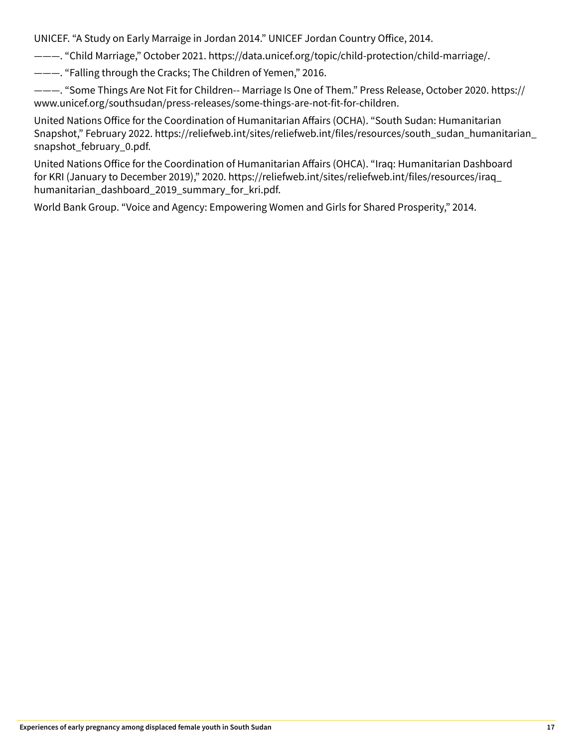UNICEF. "A Study on Early Marraige in Jordan 2014." UNICEF Jordan Country Office, 2014.

———. "Child Marriage," October 2021. https://data.unicef.org/topic/child-protection/child-marriage/.

———. "Falling through the Cracks; The Children of Yemen," 2016.

———. "Some Things Are Not Fit for Children-- Marriage Is One of Them." Press Release, October 2020. https:// www.unicef.org/southsudan/press-releases/some-things-are-not-fit-for-children.

United Nations Office for the Coordination of Humanitarian Affairs (OCHA). "South Sudan: Humanitarian Snapshot," February 2022. https://reliefweb.int/sites/reliefweb.int/files/resources/south\_sudan\_humanitarian\_ snapshot\_february\_0.pdf.

United Nations Office for the Coordination of Humanitarian Affairs (OHCA). "Iraq: Humanitarian Dashboard for KRI (January to December 2019)," 2020. https://reliefweb.int/sites/reliefweb.int/files/resources/iraq\_ humanitarian\_dashboard\_2019\_summary\_for\_kri.pdf.

World Bank Group. "Voice and Agency: Empowering Women and Girls for Shared Prosperity," 2014.